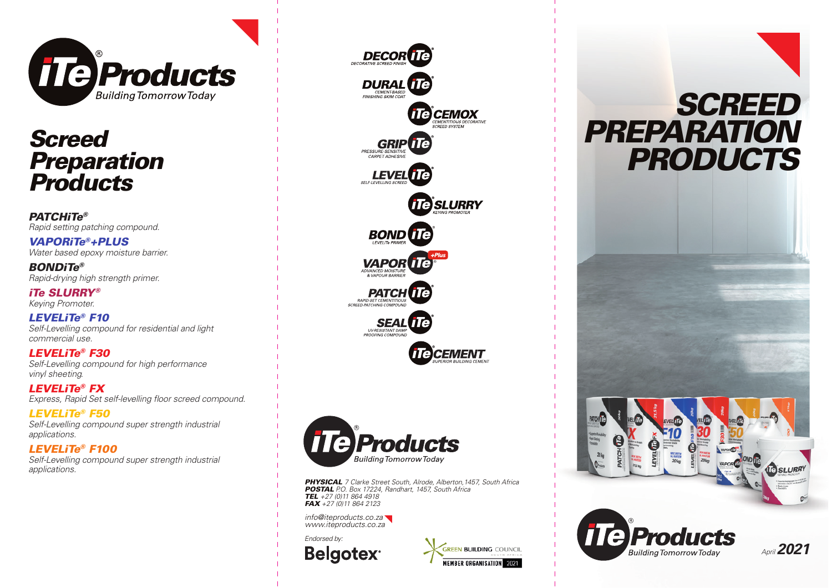

## *Screed Preparation Products*

*PATCHiTe® Rapid setting patching compound.*

*VAPORiTe®+PLUS Water based epoxy moisture barrier.*

*BONDiTe® Rapid-drying high strength primer.*

*iTe SLURRY® Keying Promoter.*

*LEVELiTe® F10 Self-Levelling compound for residential and light commercial use.*

*LEVELiTe® F30 Self-Levelling compound for high performance vinyl sheeting.*

*LEVELiTe® FX* Express, Rapid Set self-levelling floor screed compound.

*LEVELiTe® F50 Self-Levelling compound super strength industrial applications.*

#### *LEVELiTe® F100*

*Self-Levelling compound super strength industrial applications.*





*PHYSICAL 7 Clarke Street South, Alrode, Alberton,1457, South Africa POSTAL P.O. Box 17224, Randhart, 1457, South Africa TEL +27 (0)11 864 4918 FAX +27 (0)11 864 2123* 

*info@iteproducts.co.za www.iteproducts.co.za*

*Endorsed by:***Belgotex**<sup>®</sup>



# *SCREED PREPARATION PRODUCTS*